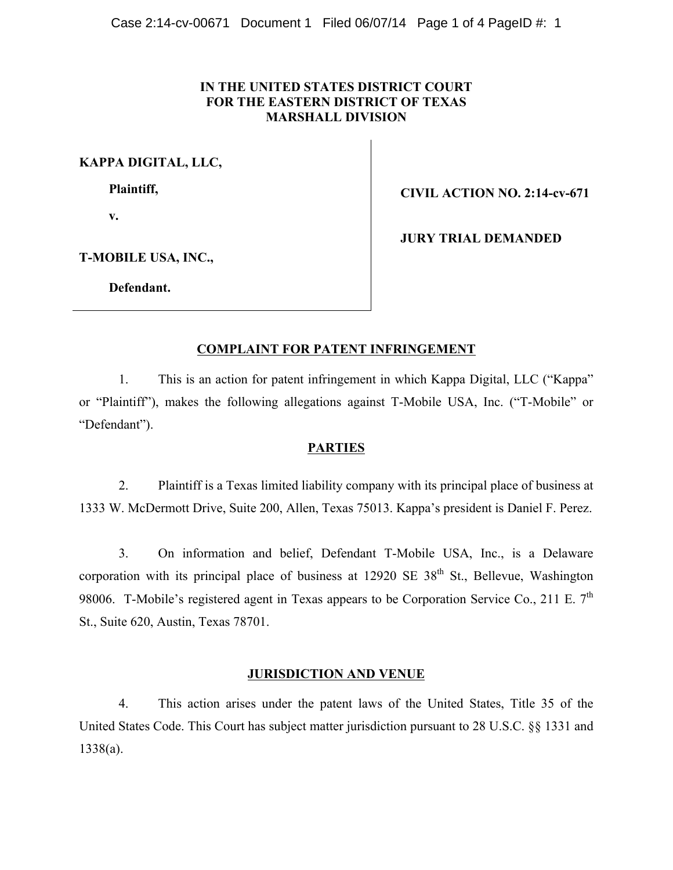## **IN THE UNITED STATES DISTRICT COURT FOR THE EASTERN DISTRICT OF TEXAS MARSHALL DIVISION**

**KAPPA DIGITAL, LLC,**

**Plaintiff,**

**v.**

**CIVIL ACTION NO. 2:14-cv-671**

**JURY TRIAL DEMANDED**

**T-MOBILE USA, INC.,** 

**Defendant.**

## **COMPLAINT FOR PATENT INFRINGEMENT**

1. This is an action for patent infringement in which Kappa Digital, LLC ("Kappa" or "Plaintiff"), makes the following allegations against T-Mobile USA, Inc. ("T-Mobile" or "Defendant").

### **PARTIES**

2. Plaintiff is a Texas limited liability company with its principal place of business at 1333 W. McDermott Drive, Suite 200, Allen, Texas 75013. Kappa's president is Daniel F. Perez.

3. On information and belief, Defendant T-Mobile USA, Inc., is a Delaware corporation with its principal place of business at  $12920 \text{ SE } 38^{\text{th}}$  St., Bellevue, Washington 98006. T-Mobile's registered agent in Texas appears to be Corporation Service Co., 211 E.  $7<sup>th</sup>$ St., Suite 620, Austin, Texas 78701.

## **JURISDICTION AND VENUE**

4. This action arises under the patent laws of the United States, Title 35 of the United States Code. This Court has subject matter jurisdiction pursuant to 28 U.S.C. §§ 1331 and 1338(a).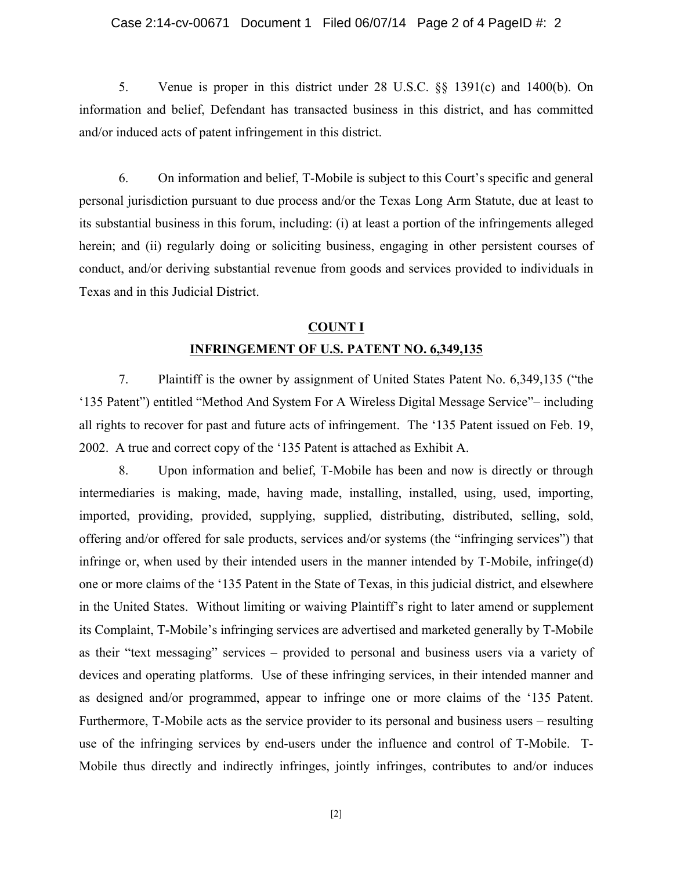#### Case 2:14-cv-00671 Document 1 Filed 06/07/14 Page 2 of 4 PageID #: 2

5. Venue is proper in this district under 28 U.S.C. §§ 1391(c) and 1400(b). On information and belief, Defendant has transacted business in this district, and has committed and/or induced acts of patent infringement in this district.

6. On information and belief, T-Mobile is subject to this Court's specific and general personal jurisdiction pursuant to due process and/or the Texas Long Arm Statute, due at least to its substantial business in this forum, including: (i) at least a portion of the infringements alleged herein; and (ii) regularly doing or soliciting business, engaging in other persistent courses of conduct, and/or deriving substantial revenue from goods and services provided to individuals in Texas and in this Judicial District.

# **COUNT I INFRINGEMENT OF U.S. PATENT NO. 6,349,135**

7. Plaintiff is the owner by assignment of United States Patent No. 6,349,135 ("the '135 Patent") entitled "Method And System For A Wireless Digital Message Service"– including all rights to recover for past and future acts of infringement. The '135 Patent issued on Feb. 19, 2002. A true and correct copy of the '135 Patent is attached as Exhibit A.

8. Upon information and belief, T-Mobile has been and now is directly or through intermediaries is making, made, having made, installing, installed, using, used, importing, imported, providing, provided, supplying, supplied, distributing, distributed, selling, sold, offering and/or offered for sale products, services and/or systems (the "infringing services") that infringe or, when used by their intended users in the manner intended by T-Mobile, infringe(d) one or more claims of the '135 Patent in the State of Texas, in this judicial district, and elsewhere in the United States. Without limiting or waiving Plaintiff's right to later amend or supplement its Complaint, T-Mobile's infringing services are advertised and marketed generally by T-Mobile as their "text messaging" services – provided to personal and business users via a variety of devices and operating platforms. Use of these infringing services, in their intended manner and as designed and/or programmed, appear to infringe one or more claims of the '135 Patent. Furthermore, T-Mobile acts as the service provider to its personal and business users – resulting use of the infringing services by end-users under the influence and control of T-Mobile. T-Mobile thus directly and indirectly infringes, jointly infringes, contributes to and/or induces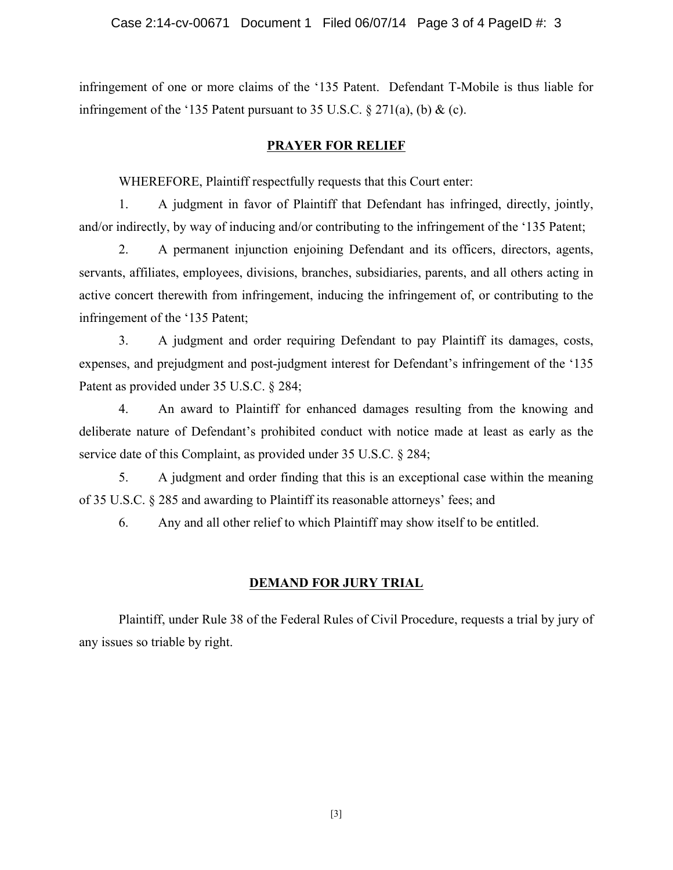infringement of one or more claims of the '135 Patent. Defendant T-Mobile is thus liable for infringement of the '135 Patent pursuant to 35 U.S.C.  $\S 271(a)$ , (b) & (c).

## **PRAYER FOR RELIEF**

WHEREFORE, Plaintiff respectfully requests that this Court enter:

1. A judgment in favor of Plaintiff that Defendant has infringed, directly, jointly, and/or indirectly, by way of inducing and/or contributing to the infringement of the '135 Patent;

2. A permanent injunction enjoining Defendant and its officers, directors, agents, servants, affiliates, employees, divisions, branches, subsidiaries, parents, and all others acting in active concert therewith from infringement, inducing the infringement of, or contributing to the infringement of the '135 Patent;

3. A judgment and order requiring Defendant to pay Plaintiff its damages, costs, expenses, and prejudgment and post-judgment interest for Defendant's infringement of the '135 Patent as provided under 35 U.S.C. § 284;

4. An award to Plaintiff for enhanced damages resulting from the knowing and deliberate nature of Defendant's prohibited conduct with notice made at least as early as the service date of this Complaint, as provided under 35 U.S.C. § 284;

5. A judgment and order finding that this is an exceptional case within the meaning of 35 U.S.C. § 285 and awarding to Plaintiff its reasonable attorneys' fees; and

6. Any and all other relief to which Plaintiff may show itself to be entitled.

# **DEMAND FOR JURY TRIAL**

Plaintiff, under Rule 38 of the Federal Rules of Civil Procedure, requests a trial by jury of any issues so triable by right.